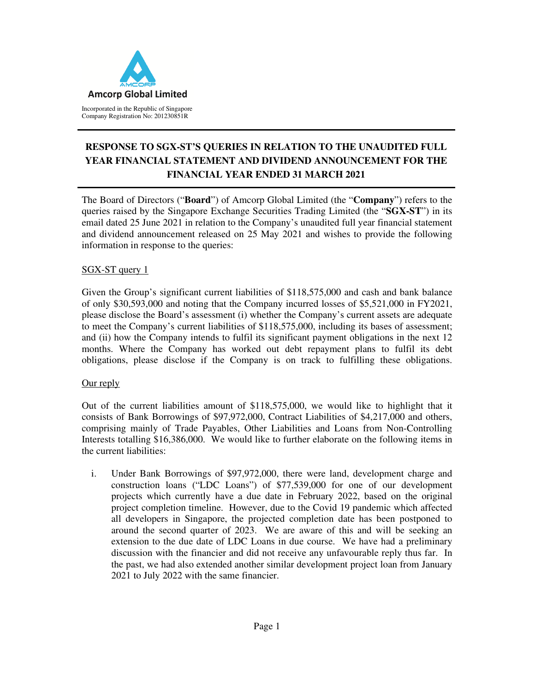

# **RESPONSE TO SGX-ST'S QUERIES IN RELATION TO THE UNAUDITED FULL YEAR FINANCIAL STATEMENT AND DIVIDEND ANNOUNCEMENT FOR THE FINANCIAL YEAR ENDED 31 MARCH 2021**

The Board of Directors ("**Board**") of Amcorp Global Limited (the "**Company**") refers to the queries raised by the Singapore Exchange Securities Trading Limited (the "**SGX-ST**") in its email dated 25 June 2021 in relation to the Company's unaudited full year financial statement and dividend announcement released on 25 May 2021 and wishes to provide the following information in response to the queries:

## SGX-ST query 1

Given the Group's significant current liabilities of \$118,575,000 and cash and bank balance of only \$30,593,000 and noting that the Company incurred losses of \$5,521,000 in FY2021, please disclose the Board's assessment (i) whether the Company's current assets are adequate to meet the Company's current liabilities of \$118,575,000, including its bases of assessment; and (ii) how the Company intends to fulfil its significant payment obligations in the next 12 months. Where the Company has worked out debt repayment plans to fulfil its debt obligations, please disclose if the Company is on track to fulfilling these obligations.

#### Our reply

Out of the current liabilities amount of \$118,575,000, we would like to highlight that it consists of Bank Borrowings of \$97,972,000, Contract Liabilities of \$4,217,000 and others, comprising mainly of Trade Payables, Other Liabilities and Loans from Non-Controlling Interests totalling \$16,386,000. We would like to further elaborate on the following items in the current liabilities:

i. Under Bank Borrowings of \$97,972,000, there were land, development charge and construction loans ("LDC Loans") of \$77,539,000 for one of our development projects which currently have a due date in February 2022, based on the original project completion timeline. However, due to the Covid 19 pandemic which affected all developers in Singapore, the projected completion date has been postponed to around the second quarter of 2023. We are aware of this and will be seeking an extension to the due date of LDC Loans in due course. We have had a preliminary discussion with the financier and did not receive any unfavourable reply thus far. In the past, we had also extended another similar development project loan from January 2021 to July 2022 with the same financier.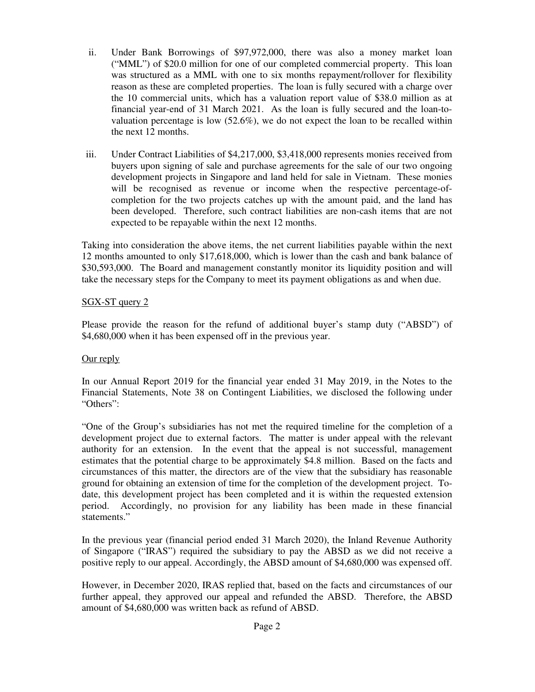- ii. Under Bank Borrowings of \$97,972,000, there was also a money market loan ("MML") of \$20.0 million for one of our completed commercial property. This loan was structured as a MML with one to six months repayment/rollover for flexibility reason as these are completed properties. The loan is fully secured with a charge over the 10 commercial units, which has a valuation report value of \$38.0 million as at financial year-end of 31 March 2021. As the loan is fully secured and the loan-tovaluation percentage is low (52.6%), we do not expect the loan to be recalled within the next 12 months.
- iii. Under Contract Liabilities of \$4,217,000, \$3,418,000 represents monies received from buyers upon signing of sale and purchase agreements for the sale of our two ongoing development projects in Singapore and land held for sale in Vietnam. These monies will be recognised as revenue or income when the respective percentage-ofcompletion for the two projects catches up with the amount paid, and the land has been developed. Therefore, such contract liabilities are non-cash items that are not expected to be repayable within the next 12 months.

Taking into consideration the above items, the net current liabilities payable within the next 12 months amounted to only \$17,618,000, which is lower than the cash and bank balance of \$30,593,000. The Board and management constantly monitor its liquidity position and will take the necessary steps for the Company to meet its payment obligations as and when due.

## SGX-ST query 2

Please provide the reason for the refund of additional buyer's stamp duty ("ABSD") of \$4,680,000 when it has been expensed off in the previous year.

#### Our reply

In our Annual Report 2019 for the financial year ended 31 May 2019, in the Notes to the Financial Statements, Note 38 on Contingent Liabilities, we disclosed the following under "Others":

"One of the Group's subsidiaries has not met the required timeline for the completion of a development project due to external factors. The matter is under appeal with the relevant authority for an extension. In the event that the appeal is not successful, management estimates that the potential charge to be approximately \$4.8 million. Based on the facts and circumstances of this matter, the directors are of the view that the subsidiary has reasonable ground for obtaining an extension of time for the completion of the development project. Todate, this development project has been completed and it is within the requested extension period. Accordingly, no provision for any liability has been made in these financial statements."

In the previous year (financial period ended 31 March 2020), the Inland Revenue Authority of Singapore ("IRAS") required the subsidiary to pay the ABSD as we did not receive a positive reply to our appeal. Accordingly, the ABSD amount of \$4,680,000 was expensed off.

However, in December 2020, IRAS replied that, based on the facts and circumstances of our further appeal, they approved our appeal and refunded the ABSD. Therefore, the ABSD amount of \$4,680,000 was written back as refund of ABSD.